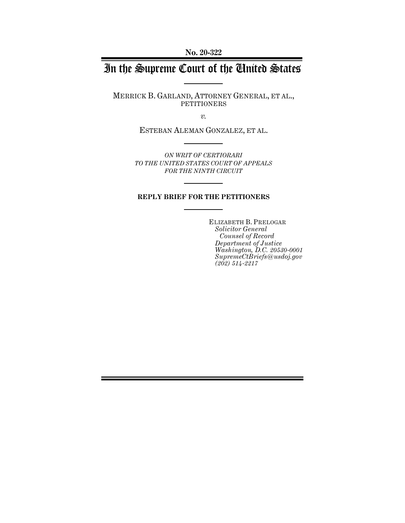**No. 20-322**

# In the Supreme Court of the United States

MERRICK B. GARLAND, ATTORNEY GENERAL, ET AL., PETITIONERS

*v.*

ESTEBAN ALEMAN GONZALEZ, ET AL.

*ON WRIT OF CERTIORARI TO THE UNITED STATES COURT OF APPEALS FOR THE NINTH CIRCUIT*

#### **REPLY BRIEF FOR THE PETITIONERS**

ELIZABETH B. PRELOGAR *Solicitor General Counsel of Record Department of Justice Washington, D.C. 20530-0001 SupremeCtBriefs@usdoj.gov (202) 514-2217*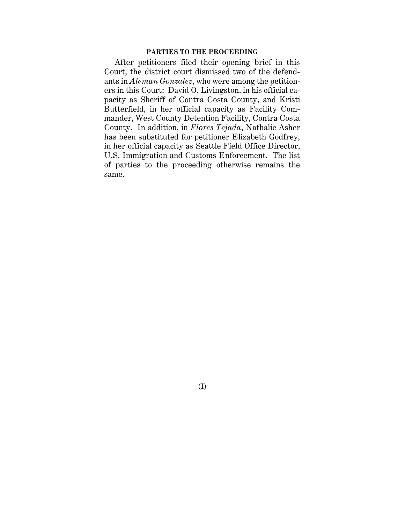### **PARTIES TO THE PROCEEDING**

After petitioners filed their opening brief in this Court, the district court dismissed two of the defendants in *Aleman Gonzalez*, who were among the petitioners in this Court: David O. Livingston, in his official capacity as Sheriff of Contra Costa County, and Kristi Butterfield, in her official capacity as Facility Commander, West County Detention Facility, Contra Costa County. In addition, in *Flores Tejada*, Nathalie Asher has been substituted for petitioner Elizabeth Godfrey, in her official capacity as Seattle Field Office Director, U.S. Immigration and Customs Enforcement. The list of parties to the proceeding otherwise remains the same.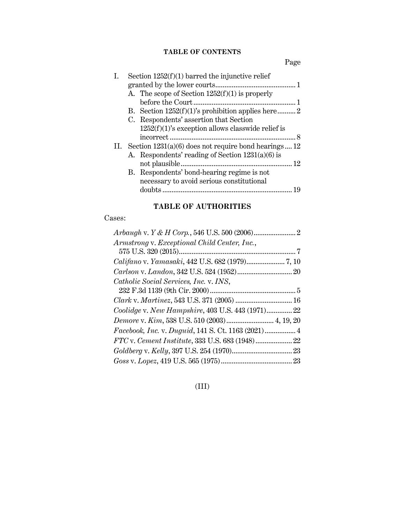# **TABLE OF CONTENTS**

Page

| $1252(f)(1)$ 's exception allows classwide relief is |                                                                                                                                                                                                                                                                                                                                                                          |
|------------------------------------------------------|--------------------------------------------------------------------------------------------------------------------------------------------------------------------------------------------------------------------------------------------------------------------------------------------------------------------------------------------------------------------------|
|                                                      |                                                                                                                                                                                                                                                                                                                                                                          |
|                                                      |                                                                                                                                                                                                                                                                                                                                                                          |
|                                                      |                                                                                                                                                                                                                                                                                                                                                                          |
| not plausible                                        | -12                                                                                                                                                                                                                                                                                                                                                                      |
|                                                      |                                                                                                                                                                                                                                                                                                                                                                          |
|                                                      |                                                                                                                                                                                                                                                                                                                                                                          |
|                                                      |                                                                                                                                                                                                                                                                                                                                                                          |
|                                                      | Section $1252(f)(1)$ barred the injunctive relief<br>A. The scope of Section $1252(f)(1)$ is properly<br>C. Respondents' assertion that Section<br>II. Section $1231(a)(6)$ does not require bond hearings 12<br>A. Respondents' reading of Section $1231(a)(6)$ is<br>B. Respondents' bond-hearing regime is not<br>necessary to avoid serious constitutional<br>doubts |

# **TABLE OF AUTHORITIES**

# Cases:

| Armstrong v. Exceptional Child Center, Inc.,      |  |
|---------------------------------------------------|--|
|                                                   |  |
|                                                   |  |
|                                                   |  |
| Catholic Social Services, Inc. v. INS,            |  |
|                                                   |  |
|                                                   |  |
| Coolidge v. New Hampshire, 403 U.S. 443 (1971) 22 |  |
| Demore v. Kim, 538 U.S. 510 (2003) 4, 19, 20      |  |
|                                                   |  |
|                                                   |  |
|                                                   |  |
|                                                   |  |
|                                                   |  |

# (III)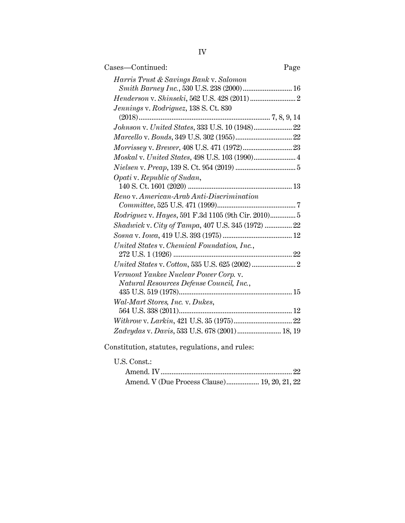| Cases—Continued:                                    | Page |
|-----------------------------------------------------|------|
| Harris Trust & Savings Bank v. Salomon              |      |
| Smith Barney Inc., 530 U.S. 238 (2000) 16           |      |
|                                                     |      |
| Jennings v. Rodriguez, 138 S. Ct. 830               |      |
|                                                     |      |
|                                                     |      |
|                                                     |      |
|                                                     |      |
| Moskal v. United States, 498 U.S. 103 (1990) 4      |      |
|                                                     |      |
| Opati v. Republic of Sudan,                         |      |
|                                                     |      |
| Reno v. American-Arab Anti-Discrimination           |      |
|                                                     |      |
| Rodriguez v. Hayes, 591 F.3d 1105 (9th Cir. 2010) 5 |      |
| Shadwick v. City of Tampa, 407 U.S. 345 (1972)  22  |      |
|                                                     |      |
| United States v. Chemical Foundation, Inc.,         |      |
|                                                     |      |
|                                                     |      |
| Vermont Yankee Nuclear Power Corp. v.               |      |
| Natural Resources Defense Council, Inc.,            |      |
|                                                     |      |
| Wal-Mart Stores, Inc. v. Dukes,                     |      |
|                                                     |      |
|                                                     |      |
| Zadvydas v. Davis, 533 U.S. 678 (2001) 18, 19       |      |
|                                                     |      |

Constitution, statutes, regulations, and rules:

# U.S. Const.:

| Amend. V (Due Process Clause) 19, 20, 21, 22 |  |
|----------------------------------------------|--|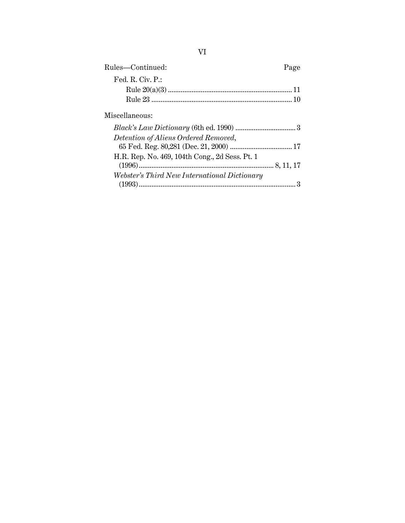| Rules-Continued:                               | Page |
|------------------------------------------------|------|
| Fed. R. Civ. P.:                               |      |
|                                                |      |
|                                                |      |
| Miscellaneous:                                 |      |
|                                                |      |
| Detention of Aliens Ordered Removed,           |      |
|                                                |      |
| H.R. Rep. No. 469, 104th Cong., 2d Sess. Pt. 1 |      |
|                                                |      |
| Webster's Third New International Dictionary   |      |
|                                                |      |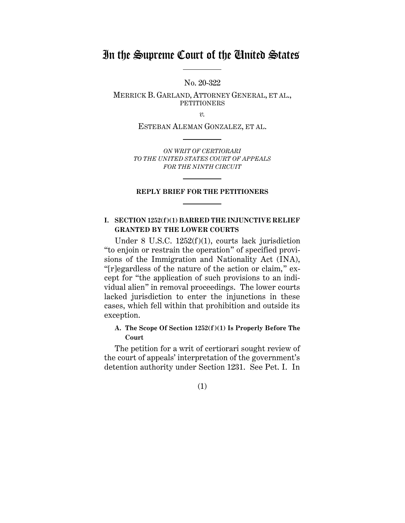# In the Supreme Court of the United States

No. 20-322

MERRICK B. GARLAND, ATTORNEY GENERAL, ET AL., **PETITIONERS** 

*v.*

ESTEBAN ALEMAN GONZALEZ, ET AL.

*ON WRIT OF CERTIORARI TO THE UNITED STATES COURT OF APPEALS FOR THE NINTH CIRCUIT*

#### **REPLY BRIEF FOR THE PETITIONERS**

## <span id="page-6-0"></span>**I. SECTION 1252(f)(1) BARRED THE INJUNCTIVE RELIEF GRANTED BY THE LOWER COURTS**

Under 8 U.S.C. 1252(f)(1), courts lack jurisdiction "to enjoin or restrain the operation" of specified provisions of the Immigration and Nationality Act (INA), "[r]egardless of the nature of the action or claim," except for "the application of such provisions to an individual alien" in removal proceedings. The lower courts lacked jurisdiction to enter the injunctions in these cases, which fell within that prohibition and outside its exception.

## <span id="page-6-1"></span>**A. The Scope Of Section 1252(f)(1) Is Properly Before The Court**

The petition for a writ of certiorari sought review of the court of appeals' interpretation of the government's detention authority under Section 1231. See Pet. I. In

(1)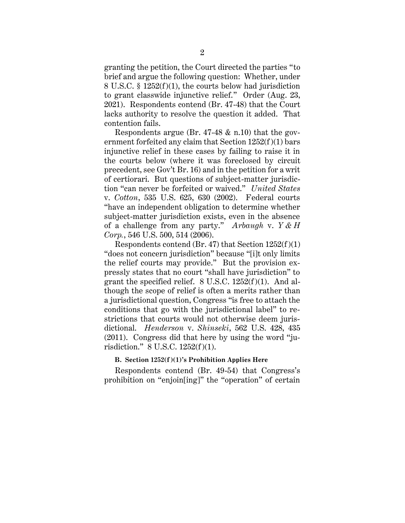granting the petition, the Court directed the parties "to brief and argue the following question: Whether, under 8 U.S.C. § 1252(f)(1), the courts below had jurisdiction to grant classwide injunctive relief." Order (Aug. 23, 2021). Respondents contend (Br. 47-48) that the Court lacks authority to resolve the question it added. That contention fails.

Respondents argue (Br. 47-48 & n.10) that the government forfeited any claim that Section 1252(f)(1) bars injunctive relief in these cases by failing to raise it in the courts below (where it was foreclosed by circuit precedent, see Gov't Br. 16) and in the petition for a writ of certiorari. But questions of subject-matter jurisdiction "can never be forfeited or waived." *United States* v. *Cotton*, 535 U.S. 625, 630 (2002). Federal courts "have an independent obligation to determine whether subject-matter jurisdiction exists, even in the absence of a challenge from any party." *Arbaugh* v. *Y & H Corp.*, 546 U.S. 500, 514 (2006).

Respondents contend (Br. 47) that Section  $1252(f)(1)$ "does not concern jurisdiction" because "[i]t only limits the relief courts may provide." But the provision expressly states that no court "shall have jurisdiction" to grant the specified relief.  $8 \text{ U.S.C. } 1252(f)(1)$ . And although the scope of relief is often a merits rather than a jurisdictional question, Congress "is free to attach the conditions that go with the jurisdictional label" to restrictions that courts would not otherwise deem jurisdictional. *Henderson* v. *Shinseki*, 562 U.S. 428, 435 (2011). Congress did that here by using the word "jurisdiction." 8 U.S.C. 1252(f)(1).

#### <span id="page-7-0"></span>**B. Section 1252(f)(1)'s Prohibition Applies Here**

Respondents contend (Br. 49-54) that Congress's prohibition on "enjoin[ing]" the "operation" of certain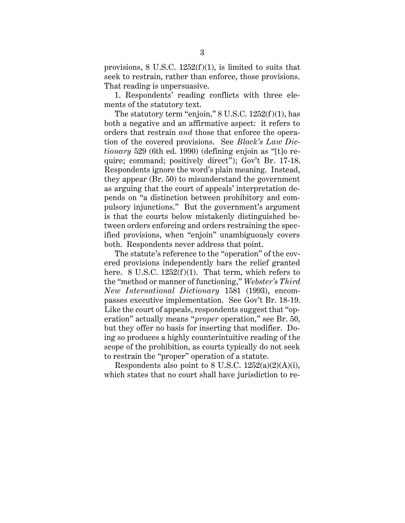provisions, 8 U.S.C. 1252(f)(1), is limited to suits that seek to restrain, rather than enforce, those provisions. That reading is unpersuasive.

1. Respondents' reading conflicts with three elements of the statutory text.

The statutory term "enjoin,"  $8 \text{ U.S.C. } 1252(f)(1)$ , has both a negative and an affirmative aspect: it refers to orders that restrain *and* those that enforce the operation of the covered provisions. See *Black's Law Dictionary* 529 (6th ed. 1990) (defining enjoin as "[t]o require; command; positively direct"); Gov't Br. 17-18. Respondents ignore the word's plain meaning. Instead, they appear (Br. 50) to misunderstand the government as arguing that the court of appeals' interpretation depends on "a distinction between prohibitory and compulsory injunctions." But the government's argument is that the courts below mistakenly distinguished between orders enforcing and orders restraining the specified provisions, when "enjoin" unambiguously covers both. Respondents never address that point.

The statute's reference to the "operation" of the covered provisions independently bars the relief granted here. 8 U.S.C.  $1252(f)(1)$ . That term, which refers to the "method or manner of functioning," *Webster's Third New International Dictionary* 1581 (1993), encompasses executive implementation. See Gov't Br. 18-19. Like the court of appeals, respondents suggest that "operation" actually means "*proper* operation," see Br. 50, but they offer no basis for inserting that modifier. Doing so produces a highly counterintuitive reading of the scope of the prohibition, as courts typically do not seek to restrain the "proper" operation of a statute.

Respondents also point to 8 U.S.C.  $1252(a)(2)(A)(i)$ , which states that no court shall have jurisdiction to re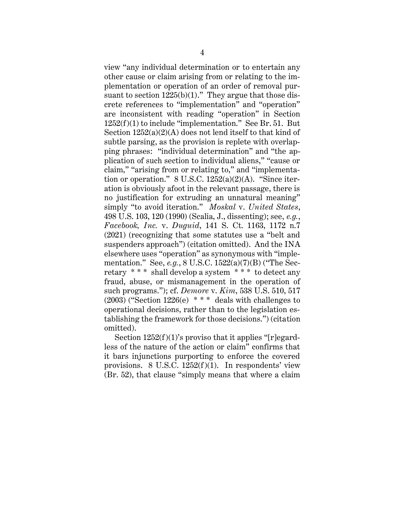view "any individual determination or to entertain any other cause or claim arising from or relating to the implementation or operation of an order of removal pursuant to section  $1225(b)(1)$ ." They argue that those discrete references to "implementation" and "operation" are inconsistent with reading "operation" in Section 1252(f)(1) to include "implementation." See Br. 51. But Section 1252(a)(2)(A) does not lend itself to that kind of subtle parsing, as the provision is replete with overlapping phrases: "individual determination" and "the application of such section to individual aliens," "cause or claim," "arising from or relating to," and "implementation or operation."  $8 \text{ U.S.C. } 1252(a)(2)(\text{A})$ . "Since iteration is obviously afoot in the relevant passage, there is no justification for extruding an unnatural meaning" simply "to avoid iteration." *Moskal* v. *United States*, 498 U.S. 103, 120 (1990) (Scalia, J., dissenting); see, *e.g.*, *Facebook, Inc.* v. *Duguid*, 141 S. Ct. 1163, 1172 n.7 (2021) (recognizing that some statutes use a "belt and suspenders approach") (citation omitted). And the INA elsewhere uses "operation" as synonymous with "implementation." See, *e.g.*, 8 U.S.C. 1522(a)(7)(B) ("The Secretary \* \* \* shall develop a system \* \* \* to detect any fraud, abuse, or mismanagement in the operation of such programs."); cf. *Demore* v. *Kim*, 538 U.S. 510, 517  $(2003)$  ("Section 1226(e) \*\*\* deals with challenges to operational decisions, rather than to the legislation establishing the framework for those decisions.") (citation omitted).

Section  $1252(f)(1)$ 's proviso that it applies "[r]egardless of the nature of the action or claim" confirms that it bars injunctions purporting to enforce the covered provisions. 8 U.S.C.  $1252(f)(1)$ . In respondents' view (Br. 52), that clause "simply means that where a claim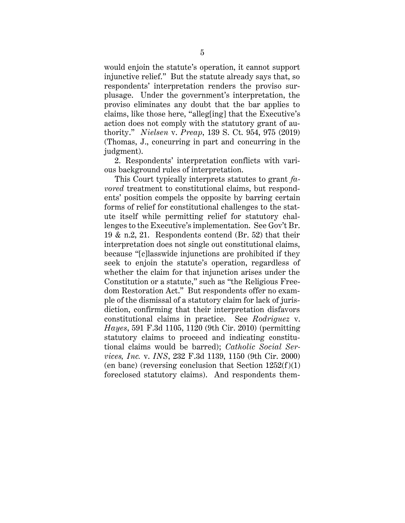would enjoin the statute's operation, it cannot support injunctive relief." But the statute already says that, so respondents' interpretation renders the proviso surplusage. Under the government's interpretation, the proviso eliminates any doubt that the bar applies to claims, like those here, "alleg[ing] that the Executive's action does not comply with the statutory grant of authority." *Nielsen* v. *Preap*, 139 S. Ct. 954, 975 (2019) (Thomas, J., concurring in part and concurring in the judgment).

2. Respondents' interpretation conflicts with various background rules of interpretation.

This Court typically interprets statutes to grant *favored* treatment to constitutional claims, but respondents' position compels the opposite by barring certain forms of relief for constitutional challenges to the statute itself while permitting relief for statutory challenges to the Executive's implementation. See Gov't Br. 19 & n.2, 21. Respondents contend (Br. 52) that their interpretation does not single out constitutional claims, because "[c]lasswide injunctions are prohibited if they seek to enjoin the statute's operation, regardless of whether the claim for that injunction arises under the Constitution or a statute," such as "the Religious Freedom Restoration Act." But respondents offer no example of the dismissal of a statutory claim for lack of jurisdiction, confirming that their interpretation disfavors constitutional claims in practice. See *Rodriguez* v. *Hayes*, 591 F.3d 1105, 1120 (9th Cir. 2010) (permitting statutory claims to proceed and indicating constitutional claims would be barred); *Catholic Social Services, Inc.* v. *INS*, 232 F.3d 1139, 1150 (9th Cir. 2000) (en banc) (reversing conclusion that Section  $1252(f)(1)$ ) foreclosed statutory claims). And respondents them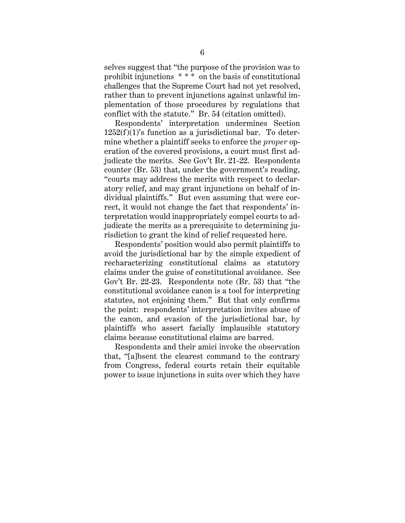selves suggest that "the purpose of the provision was to prohibit injunctions \* \* \* on the basis of constitutional challenges that the Supreme Court had not yet resolved, rather than to prevent injunctions against unlawful implementation of those procedures by regulations that conflict with the statute." Br. 54 (citation omitted).

Respondents' interpretation undermines Section  $1252(f)(1)$ 's function as a jurisdictional bar. To determine whether a plaintiff seeks to enforce the *proper* operation of the covered provisions, a court must first adjudicate the merits. See Gov't Br. 21-22. Respondents counter (Br. 53) that, under the government's reading, "courts may address the merits with respect to declaratory relief, and may grant injunctions on behalf of individual plaintiffs." But even assuming that were correct, it would not change the fact that respondents' interpretation would inappropriately compel courts to adjudicate the merits as a prerequisite to determining jurisdiction to grant the kind of relief requested here.

Respondents' position would also permit plaintiffs to avoid the jurisdictional bar by the simple expedient of recharacterizing constitutional claims as statutory claims under the guise of constitutional avoidance. See Gov't Br. 22-23. Respondents note (Br. 53) that "the constitutional avoidance canon is a tool for interpreting statutes, not enjoining them." But that only confirms the point: respondents' interpretation invites abuse of the canon, and evasion of the jurisdictional bar, by plaintiffs who assert facially implausible statutory claims because constitutional claims are barred.

Respondents and their amici invoke the observation that, "[a]bsent the clearest command to the contrary from Congress, federal courts retain their equitable power to issue injunctions in suits over which they have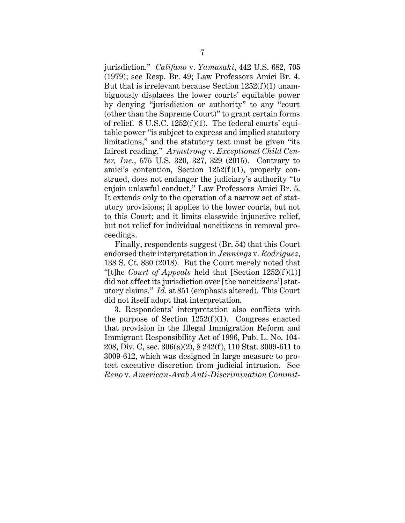jurisdiction." *Califano* v. *Yamasaki*, 442 U.S. 682, 705 (1979); see Resp. Br. 49; Law Professors Amici Br. 4. But that is irrelevant because Section  $1252(f)(1)$  unambiguously displaces the lower courts' equitable power by denying "jurisdiction or authority" to any "court (other than the Supreme Court)" to grant certain forms of relief. 8 U.S.C. 1252(f)(1). The federal courts' equitable power "is subject to express and implied statutory limitations," and the statutory text must be given "its fairest reading." *Armstrong* v. *Exceptional Child Center, Inc.*, 575 U.S. 320, 327, 329 (2015). Contrary to amici's contention, Section 1252(f)(1), properly construed, does not endanger the judiciary's authority "to enjoin unlawful conduct," Law Professors Amici Br. 5. It extends only to the operation of a narrow set of statutory provisions; it applies to the lower courts, but not to this Court; and it limits classwide injunctive relief, but not relief for individual noncitizens in removal proceedings.

Finally, respondents suggest (Br. 54) that this Court endorsed their interpretation in *Jennings* v. *Rodriguez*, 138 S. Ct. 830 (2018). But the Court merely noted that "[t]he *Court of Appeals* held that [Section 1252(f)(1)] did not affect its jurisdiction over [the noncitizens'] statutory claims." *Id.* at 851 (emphasis altered). This Court did not itself adopt that interpretation.

3. Respondents' interpretation also conflicts with the purpose of Section  $1252(f)(1)$ . Congress enacted that provision in the Illegal Immigration Reform and Immigrant Responsibility Act of 1996, Pub. L. No. 104- 208, Div. C, sec. 306(a)(2), § 242(f), 110 Stat. 3009-611 to 3009-612, which was designed in large measure to protect executive discretion from judicial intrusion. See *Reno* v. *American-Arab Anti-Discrimination Commit-*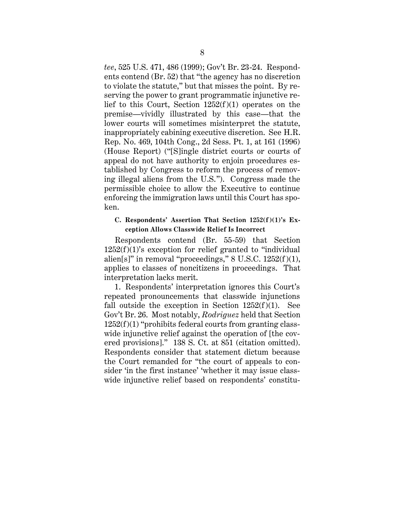*tee*, 525 U.S. 471, 486 (1999); Gov't Br. 23-24. Respondents contend (Br. 52) that "the agency has no discretion to violate the statute," but that misses the point. By reserving the power to grant programmatic injunctive relief to this Court, Section  $1252(f)(1)$  operates on the premise—vividly illustrated by this case—that the lower courts will sometimes misinterpret the statute, inappropriately cabining executive discretion. See H.R. Rep. No. 469, 104th Cong., 2d Sess. Pt. 1, at 161 (1996) (House Report) ("[S]ingle district courts or courts of appeal do not have authority to enjoin procedures established by Congress to reform the process of removing illegal aliens from the U.S."). Congress made the permissible choice to allow the Executive to continue enforcing the immigration laws until this Court has spoken.

### <span id="page-13-0"></span>**C. Respondents' Assertion That Section 1252(f)(1)'s Exception Allows Classwide Relief Is Incorrect**

Respondents contend (Br. 55-59) that Section  $1252(f)(1)$ 's exception for relief granted to "individual" alien[s]" in removal "proceedings,"  $8 \text{ U.S.C. } 1252(f)(1)$ , applies to classes of noncitizens in proceedings. That interpretation lacks merit.

1. Respondents' interpretation ignores this Court's repeated pronouncements that classwide injunctions fall outside the exception in Section  $1252(f)(1)$ . See Gov't Br. 26. Most notably, *Rodriguez* held that Section 1252(f)(1) "prohibits federal courts from granting classwide injunctive relief against the operation of [the covered provisions]." 138 S. Ct. at 851 (citation omitted). Respondents consider that statement dictum because the Court remanded for "the court of appeals to consider 'in the first instance' 'whether it may issue classwide injunctive relief based on respondents' constitu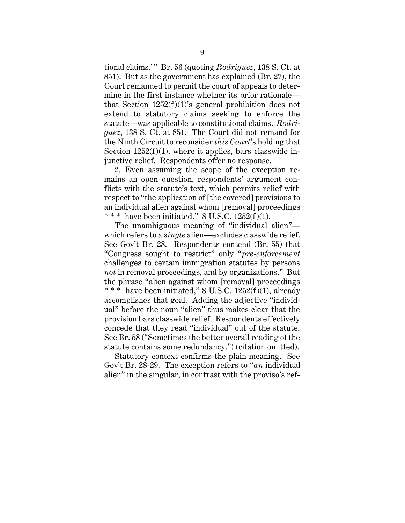tional claims.' " Br. 56 (quoting *Rodriguez*, 138 S. Ct. at 851). But as the government has explained (Br. 27), the Court remanded to permit the court of appeals to determine in the first instance whether its prior rationale that Section  $1252(f)(1)$ 's general prohibition does not extend to statutory claims seeking to enforce the statute—was applicable to constitutional claims. *Rodriguez*, 138 S. Ct. at 851. The Court did not remand for the Ninth Circuit to reconsider *this Court*'s holding that Section  $1252(f)(1)$ , where it applies, bars classwide injunctive relief. Respondents offer no response.

2. Even assuming the scope of the exception remains an open question, respondents' argument conflicts with the statute's text, which permits relief with respect to "the application of [the covered] provisions to an individual alien against whom [removal] proceedings \* \* \* have been initiated."  $8 \text{ U.S.C. } 1252(f)(1)$ .

The unambiguous meaning of "individual alien" which refers to a *single* alien—excludes classwide relief. See Gov't Br. 28. Respondents contend (Br. 55) that "Congress sought to restrict" only "*pre-enforcement*  challenges to certain immigration statutes by persons *not* in removal proceedings, and by organizations." But the phrase "alien against whom [removal] proceedings \* \* \* have been initiated," 8 U.S.C. 1252(f)(1), already accomplishes that goal. Adding the adjective "individual" before the noun "alien" thus makes clear that the provision bars classwide relief. Respondents effectively concede that they read "individual" out of the statute. See Br. 58 ("Sometimes the better overall reading of the statute contains some redundancy.") (citation omitted).

Statutory context confirms the plain meaning. See Gov't Br. 28-29. The exception refers to "*an* individual alien" in the singular, in contrast with the proviso's ref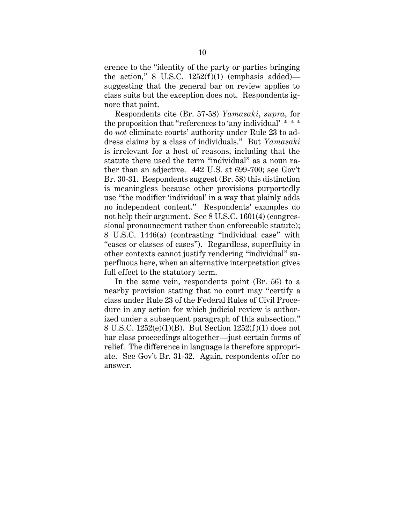erence to the "identity of the party or parties bringing the action," 8 U.S.C.  $1252(f)(1)$  (emphasis added) suggesting that the general bar on review applies to class suits but the exception does not. Respondents ignore that point.

Respondents cite (Br. 57-58) *Yamasaki*, *supra*, for the proposition that "references to 'any individual' \* \* \* do *not* eliminate courts' authority under Rule 23 to address claims by a class of individuals." But *Yamasaki* is irrelevant for a host of reasons, including that the statute there used the term "individual" as a noun rather than an adjective. 442 U.S. at 699-700; see Gov't Br. 30-31. Respondents suggest (Br. 58) this distinction is meaningless because other provisions purportedly use "the modifier 'individual' in a way that plainly adds no independent content." Respondents' examples do not help their argument. See 8 U.S.C. 1601(4) (congressional pronouncement rather than enforceable statute); 8 U.S.C. 1446(a) (contrasting "individual case" with "cases or classes of cases"). Regardless, superfluity in other contexts cannot justify rendering "individual" superfluous here, when an alternative interpretation gives full effect to the statutory term.

In the same vein, respondents point (Br. 56) to a nearby provision stating that no court may "certify a class under Rule 23 of the Federal Rules of Civil Procedure in any action for which judicial review is authorized under a subsequent paragraph of this subsection." 8 U.S.C. 1252(e)(1)(B). But Section 1252(f)(1) does not bar class proceedings altogether—just certain forms of relief. The difference in language is therefore appropriate. See Gov't Br. 31-32. Again, respondents offer no answer.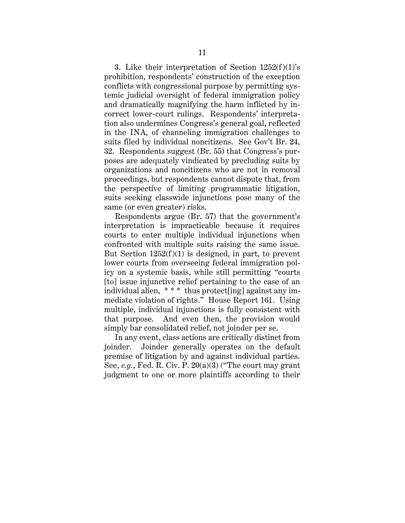3. Like their interpretation of Section  $1252(f)(1)$ 's prohibition, respondents' construction of the exception conflicts with congressional purpose by permitting systemic judicial oversight of federal immigration policy and dramatically magnifying the harm inflicted by incorrect lower-court rulings. Respondents' interpretation also undermines Congress's general goal, reflected in the INA, of channeling immigration challenges to suits filed by individual noncitizens. See Gov't Br. 24, 32. Respondents suggest (Br. 55) that Congress's purposes are adequately vindicated by precluding suits by organizations and noncitizens who are not in removal proceedings, but respondents cannot dispute that, from the perspective of limiting programmatic litigation, suits seeking classwide injunctions pose many of the same (or even greater) risks.

Respondents argue (Br. 57) that the government's interpretation is impracticable because it requires courts to enter multiple individual injunctions when confronted with multiple suits raising the same issue. But Section  $1252(f)(1)$  is designed, in part, to prevent lower courts from overseeing federal immigration policy on a systemic basis, while still permitting "courts [to] issue injunctive relief pertaining to the case of an individual alien, \* \* \* thus protect[ing] against any immediate violation of rights." House Report 161. Using multiple, individual injunctions is fully consistent with that purpose. And even then, the provision would simply bar consolidated relief, not joinder per se.

In any event, class actions are critically distinct from joinder. Joinder generally operates on the default premise of litigation by and against individual parties. See, *e.g.*, Fed. R. Civ. P. 20(a)(3) ("The court may grant judgment to one or more plaintiffs according to their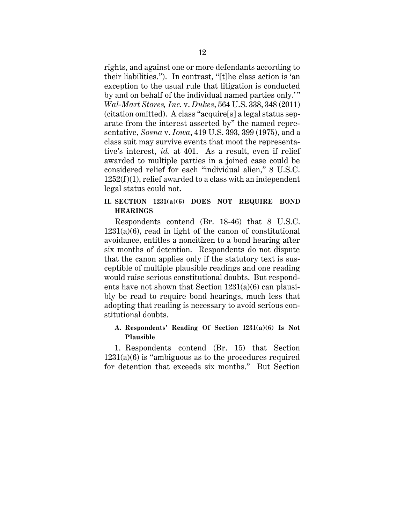rights, and against one or more defendants according to their liabilities."). In contrast, "[t]he class action is 'an exception to the usual rule that litigation is conducted by and on behalf of the individual named parties only.'" *Wal-Mart Stores, Inc.* v. *Dukes*, 564 U.S. 338, 348 (2011) (citation omitted). A class "acquire[s] a legal status separate from the interest asserted by" the named representative, *Sosna* v. *Iowa*, 419 U.S. 393, 399 (1975), and a class suit may survive events that moot the representative's interest, *id.* at 401. As a result, even if relief awarded to multiple parties in a joined case could be considered relief for each "individual alien," 8 U.S.C.  $1252(f)(1)$ , relief awarded to a class with an independent legal status could not.

# <span id="page-17-0"></span>**II. SECTION 1231(a)(6) DOES NOT REQUIRE BOND HEARINGS**

Respondents contend (Br. 18-46) that 8 U.S.C.  $1231(a)(6)$ , read in light of the canon of constitutional avoidance, entitles a noncitizen to a bond hearing after six months of detention. Respondents do not dispute that the canon applies only if the statutory text is susceptible of multiple plausible readings and one reading would raise serious constitutional doubts. But respondents have not shown that Section 1231(a)(6) can plausibly be read to require bond hearings, much less that adopting that reading is necessary to avoid serious constitutional doubts.

# <span id="page-17-1"></span>**A. Respondents' Reading Of Section 1231(a)(6) Is Not Plausible**

1. Respondents contend (Br. 15) that Section  $1231(a)(6)$  is "ambiguous as to the procedures required for detention that exceeds six months." But Section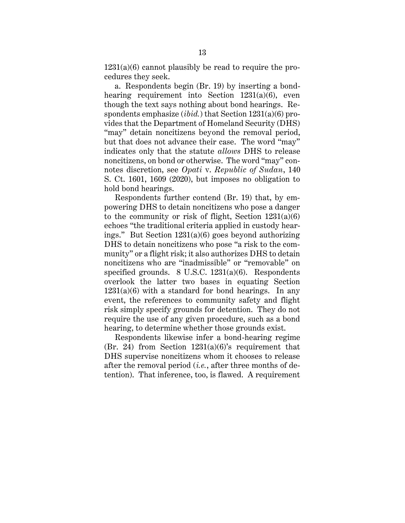$1231(a)(6)$  cannot plausibly be read to require the procedures they seek.

a. Respondents begin (Br. 19) by inserting a bondhearing requirement into Section 1231(a)(6), even though the text says nothing about bond hearings. Respondents emphasize (*ibid.*) that Section 1231(a)(6) provides that the Department of Homeland Security (DHS) "may" detain noncitizens beyond the removal period, but that does not advance their case. The word "may" indicates only that the statute *allows* DHS to release noncitizens, on bond or otherwise. The word "may" connotes discretion, see *Opati* v. *Republic of Sudan*, 140 S. Ct. 1601, 1609 (2020), but imposes no obligation to hold bond hearings.

Respondents further contend (Br. 19) that, by empowering DHS to detain noncitizens who pose a danger to the community or risk of flight, Section  $1231(a)(6)$ echoes "the traditional criteria applied in custody hearings." But Section 1231(a)(6) goes beyond authorizing DHS to detain noncitizens who pose "a risk to the community" or a flight risk; it also authorizes DHS to detain noncitizens who are "inadmissible" or "removable" on specified grounds. 8 U.S.C. 1231(a)(6). Respondents overlook the latter two bases in equating Section  $1231(a)(6)$  with a standard for bond hearings. In any event, the references to community safety and flight risk simply specify grounds for detention. They do not require the use of any given procedure, such as a bond hearing, to determine whether those grounds exist.

Respondents likewise infer a bond-hearing regime (Br. 24) from Section 1231(a)(6)'s requirement that DHS supervise noncitizens whom it chooses to release after the removal period (*i.e.*, after three months of detention). That inference, too, is flawed. A requirement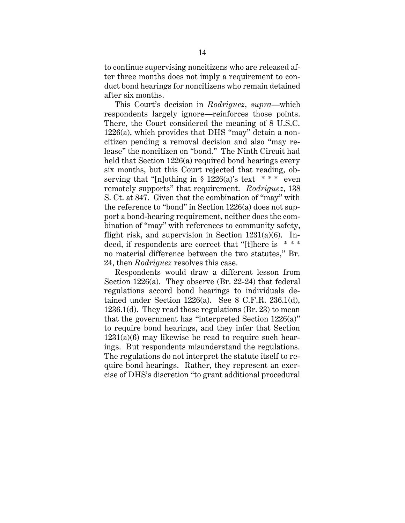to continue supervising noncitizens who are released after three months does not imply a requirement to conduct bond hearings for noncitizens who remain detained after six months.

This Court's decision in *Rodriguez*, *supra*—which respondents largely ignore—reinforces those points. There, the Court considered the meaning of 8 U.S.C. 1226(a), which provides that DHS "may" detain a noncitizen pending a removal decision and also "may release" the noncitizen on "bond." The Ninth Circuit had held that Section 1226(a) required bond hearings every six months, but this Court rejected that reading, observing that "[n]othing in  $\S$  1226(a)'s text \*\*\* even remotely supports" that requirement. *Rodriguez*, 138 S. Ct. at 847. Given that the combination of "may" with the reference to "bond" in Section 1226(a) does not support a bond-hearing requirement, neither does the combination of "may" with references to community safety, flight risk, and supervision in Section  $1231(a)(6)$ . Indeed, if respondents are correct that "[t]here is \* \* \* no material difference between the two statutes," Br. 24, then *Rodriguez* resolves this case.

Respondents would draw a different lesson from Section 1226(a). They observe (Br. 22-24) that federal regulations accord bond hearings to individuals detained under Section  $1226(a)$ . See 8 C.F.R.  $236.1(d)$ , 1236.1(d). They read those regulations (Br. 23) to mean that the government has "interpreted Section 1226(a)" to require bond hearings, and they infer that Section  $1231(a)(6)$  may likewise be read to require such hearings. But respondents misunderstand the regulations. The regulations do not interpret the statute itself to require bond hearings. Rather, they represent an exercise of DHS's discretion "to grant additional procedural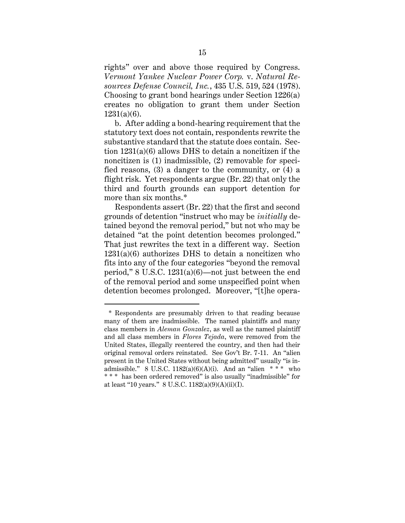rights" over and above those required by Congress. *Vermont Yankee Nuclear Power Corp.* v. *Natural Resources Defense Council, Inc.*, 435 U.S. 519, 524 (1978). Choosing to grant bond hearings under Section 1226(a) creates no obligation to grant them under Section 1231(a)(6).

b. After adding a bond-hearing requirement that the statutory text does not contain, respondents rewrite the substantive standard that the statute does contain. Section 1231(a)(6) allows DHS to detain a noncitizen if the noncitizen is (1) inadmissible, (2) removable for specified reasons, (3) a danger to the community, or (4) a flight risk. Yet respondents argue (Br. 22) that only the third and fourth grounds can support detention for more than six months.\*

Respondents assert (Br. 22) that the first and second grounds of detention "instruct who may be *initially* detained beyond the removal period," but not who may be detained "at the point detention becomes prolonged." That just rewrites the text in a different way. Section  $1231(a)(6)$  authorizes DHS to detain a noncitizen who fits into any of the four categories "beyond the removal period," 8 U.S.C. 1231(a)(6)—not just between the end of the removal period and some unspecified point when detention becomes prolonged. Moreover, "[t]he opera-

<sup>\*</sup> Respondents are presumably driven to that reading because many of them are inadmissible. The named plaintiffs and many class members in *Aleman Gonzalez*, as well as the named plaintiff and all class members in *Flores Tejada*, were removed from the United States, illegally reentered the country, and then had their original removal orders reinstated. See Gov't Br. 7-11. An "alien present in the United States without being admitted" usually "is inadmissible." 8 U.S.C.  $1182(a)(6)(A)(i)$ . And an "alien \* \* \* who \* \* \* has been ordered removed" is also usually "inadmissible" for at least "10 years." 8 U.S.C. 1182(a)(9)(A)(ii)(I).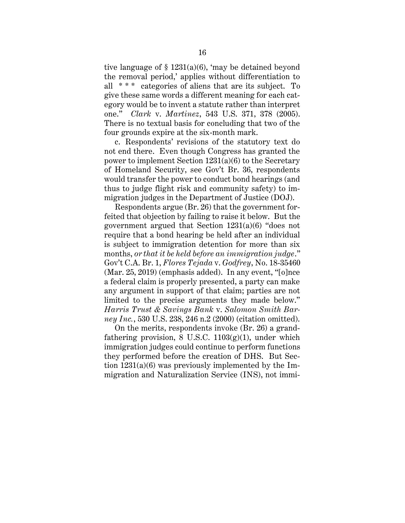tive language of  $\S$  1231(a)(6), 'may be detained beyond the removal period,' applies without differentiation to all  $***$  categories of aliens that are its subject. To give these same words a different meaning for each category would be to invent a statute rather than interpret one." *Clark* v. *Martinez*, 543 U.S. 371, 378 (2005). There is no textual basis for concluding that two of the four grounds expire at the six-month mark.

c. Respondents' revisions of the statutory text do not end there. Even though Congress has granted the power to implement Section 1231(a)(6) to the Secretary of Homeland Security, see Gov't Br. 36, respondents would transfer the power to conduct bond hearings (and thus to judge flight risk and community safety) to immigration judges in the Department of Justice (DOJ).

Respondents argue (Br. 26) that the government forfeited that objection by failing to raise it below. But the government argued that Section 1231(a)(6) "does not require that a bond hearing be held after an individual is subject to immigration detention for more than six months, *or that it be held before an immigration judge*." Gov't C.A. Br. 1, *Flores Tejada* v. *Godfrey*, No. 18-35460 (Mar. 25, 2019) (emphasis added). In any event, "[o]nce a federal claim is properly presented, a party can make any argument in support of that claim; parties are not limited to the precise arguments they made below." *Harris Trust & Savings Bank* v. *Salomon Smith Barney Inc.*, 530 U.S. 238, 246 n.2 (2000) (citation omitted).

On the merits, respondents invoke (Br. 26) a grandfathering provision,  $8 \text{ U.S.C. } 1103(g)(1)$ , under which immigration judges could continue to perform functions they performed before the creation of DHS. But Section 1231(a)(6) was previously implemented by the Immigration and Naturalization Service (INS), not immi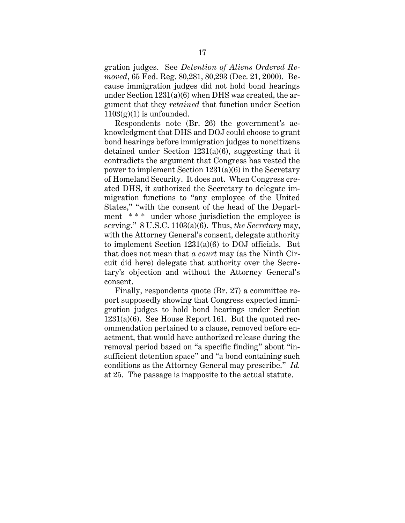gration judges. See *Detention of Aliens Ordered Removed*, 65 Fed. Reg. 80,281, 80,293 (Dec. 21, 2000). Because immigration judges did not hold bond hearings under Section 1231(a)(6) when DHS was created, the argument that they *retained* that function under Section  $1103(g)(1)$  is unfounded.

Respondents note (Br. 26) the government's acknowledgment that DHS and DOJ could choose to grant bond hearings before immigration judges to noncitizens detained under Section 1231(a)(6), suggesting that it contradicts the argument that Congress has vested the power to implement Section 1231(a)(6) in the Secretary of Homeland Security. It does not. When Congress created DHS, it authorized the Secretary to delegate immigration functions to "any employee of the United States," "with the consent of the head of the Department \* \* \* under whose jurisdiction the employee is serving." 8 U.S.C. 1103(a)(6). Thus, *the Secretary* may, with the Attorney General's consent, delegate authority to implement Section 1231(a)(6) to DOJ officials. But that does not mean that *a court* may (as the Ninth Circuit did here) delegate that authority over the Secretary's objection and without the Attorney General's consent.

Finally, respondents quote (Br. 27) a committee report supposedly showing that Congress expected immigration judges to hold bond hearings under Section 1231(a)(6). See House Report 161. But the quoted recommendation pertained to a clause, removed before enactment, that would have authorized release during the removal period based on "a specific finding" about "insufficient detention space" and "a bond containing such conditions as the Attorney General may prescribe." *Id.* at 25. The passage is inapposite to the actual statute.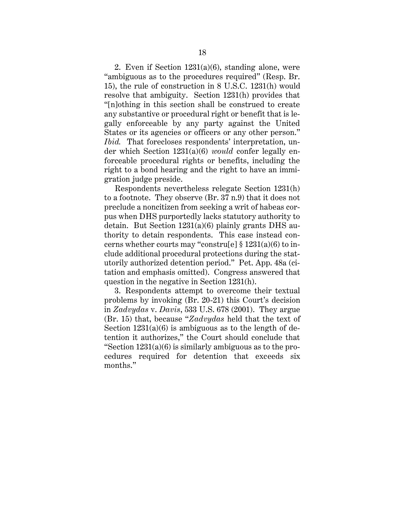2. Even if Section 1231(a)(6), standing alone, were "ambiguous as to the procedures required" (Resp. Br. 15), the rule of construction in 8 U.S.C. 1231(h) would resolve that ambiguity. Section 1231(h) provides that "[n]othing in this section shall be construed to create any substantive or procedural right or benefit that is legally enforceable by any party against the United States or its agencies or officers or any other person." *Ibid.* That forecloses respondents' interpretation, under which Section 1231(a)(6) *would* confer legally enforceable procedural rights or benefits, including the right to a bond hearing and the right to have an immigration judge preside.

Respondents nevertheless relegate Section 1231(h) to a footnote. They observe (Br. 37 n.9) that it does not preclude a noncitizen from seeking a writ of habeas corpus when DHS purportedly lacks statutory authority to detain. But Section 1231(a)(6) plainly grants DHS authority to detain respondents. This case instead concerns whether courts may "constru[e]  $\S 1231(a)(6)$  to include additional procedural protections during the statutorily authorized detention period." Pet. App. 48a (citation and emphasis omitted). Congress answered that question in the negative in Section 1231(h).

3. Respondents attempt to overcome their textual problems by invoking (Br. 20-21) this Court's decision in *Zadvydas* v. *Davis*, 533 U.S. 678 (2001). They argue (Br. 15) that, because "*Zadvydas* held that the text of Section  $1231(a)(6)$  is ambiguous as to the length of detention it authorizes," the Court should conclude that "Section  $1231(a)(6)$  is similarly ambiguous as to the procedures required for detention that exceeds six months."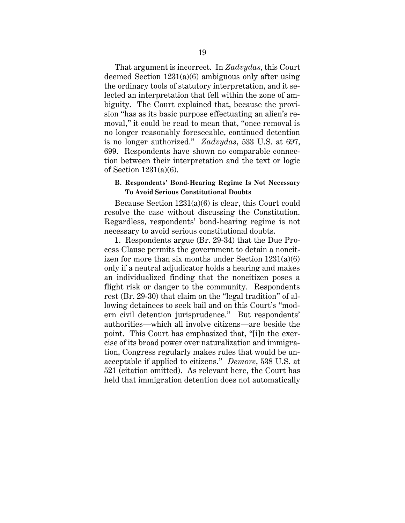That argument is incorrect. In *Zadvydas*, this Court deemed Section 1231(a)(6) ambiguous only after using the ordinary tools of statutory interpretation, and it selected an interpretation that fell within the zone of ambiguity. The Court explained that, because the provision "has as its basic purpose effectuating an alien's removal," it could be read to mean that, "once removal is no longer reasonably foreseeable, continued detention is no longer authorized." *Zadvydas*, 533 U.S. at 697, 699. Respondents have shown no comparable connection between their interpretation and the text or logic of Section 1231(a)(6).

### <span id="page-24-0"></span>**B. Respondents' Bond-Hearing Regime Is Not Necessary To Avoid Serious Constitutional Doubts**

Because Section 1231(a)(6) is clear, this Court could resolve the case without discussing the Constitution. Regardless, respondents' bond-hearing regime is not necessary to avoid serious constitutional doubts.

1. Respondents argue (Br. 29-34) that the Due Process Clause permits the government to detain a noncitizen for more than six months under Section  $1231(a)(6)$ only if a neutral adjudicator holds a hearing and makes an individualized finding that the noncitizen poses a flight risk or danger to the community. Respondents rest (Br. 29-30) that claim on the "legal tradition" of allowing detainees to seek bail and on this Court's "modern civil detention jurisprudence." But respondents' authorities—which all involve citizens—are beside the point. This Court has emphasized that, "[i]n the exercise of its broad power over naturalization and immigration, Congress regularly makes rules that would be unacceptable if applied to citizens." *Demore*, 538 U.S. at 521 (citation omitted). As relevant here, the Court has held that immigration detention does not automatically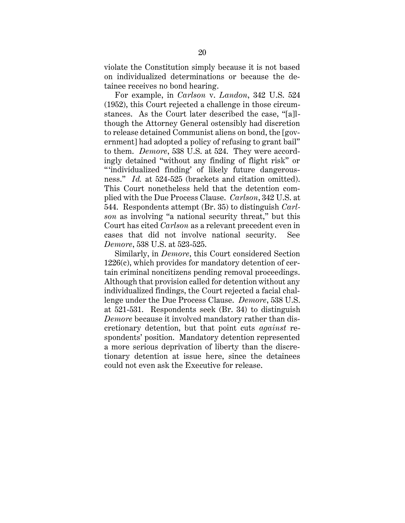violate the Constitution simply because it is not based on individualized determinations or because the detainee receives no bond hearing.

For example, in *Carlson* v. *Landon*, 342 U.S. 524 (1952), this Court rejected a challenge in those circumstances. As the Court later described the case, "[a]lthough the Attorney General ostensibly had discretion to release detained Communist aliens on bond, the [government] had adopted a policy of refusing to grant bail" to them. *Demore*, 538 U.S. at 524. They were accordingly detained "without any finding of flight risk" or "individualized finding' of likely future dangerousness." *Id.* at 524-525 (brackets and citation omitted). This Court nonetheless held that the detention complied with the Due Process Clause. *Carlson*, 342 U.S. at 544. Respondents attempt (Br. 35) to distinguish *Carlson* as involving "a national security threat," but this Court has cited *Carlson* as a relevant precedent even in cases that did not involve national security. See *Demore*, 538 U.S. at 523-525.

Similarly, in *Demore*, this Court considered Section 1226(c), which provides for mandatory detention of certain criminal noncitizens pending removal proceedings. Although that provision called for detention without any individualized findings, the Court rejected a facial challenge under the Due Process Clause. *Demore*, 538 U.S. at 521-531. Respondents seek (Br. 34) to distinguish *Demore* because it involved mandatory rather than discretionary detention, but that point cuts *against* respondents' position. Mandatory detention represented a more serious deprivation of liberty than the discretionary detention at issue here, since the detainees could not even ask the Executive for release.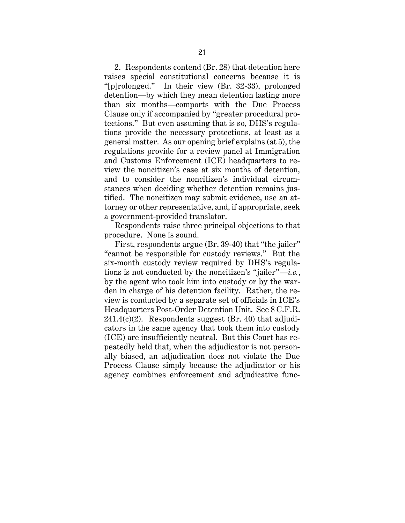2. Respondents contend (Br. 28) that detention here raises special constitutional concerns because it is "[p]rolonged." In their view (Br. 32-33), prolonged detention—by which they mean detention lasting more than six months—comports with the Due Process Clause only if accompanied by "greater procedural protections." But even assuming that is so, DHS's regulations provide the necessary protections, at least as a general matter. As our opening brief explains (at 5), the regulations provide for a review panel at Immigration and Customs Enforcement (ICE) headquarters to review the noncitizen's case at six months of detention, and to consider the noncitizen's individual circumstances when deciding whether detention remains justified. The noncitizen may submit evidence, use an attorney or other representative, and, if appropriate, seek a government-provided translator.

Respondents raise three principal objections to that procedure. None is sound.

First, respondents argue (Br. 39-40) that "the jailer" "cannot be responsible for custody reviews." But the six-month custody review required by DHS's regulations is not conducted by the noncitizen's "jailer"—*i.e.*, by the agent who took him into custody or by the warden in charge of his detention facility. Rather, the review is conducted by a separate set of officials in ICE's Headquarters Post-Order Detention Unit. See 8 C.F.R.  $241.4(c)(2)$ . Respondents suggest (Br. 40) that adjudicators in the same agency that took them into custody (ICE) are insufficiently neutral. But this Court has repeatedly held that, when the adjudicator is not personally biased, an adjudication does not violate the Due Process Clause simply because the adjudicator or his agency combines enforcement and adjudicative func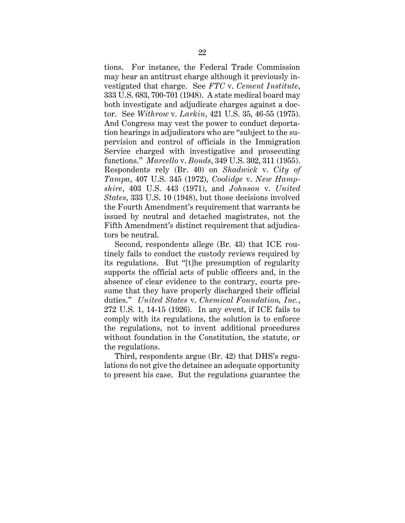tions. For instance, the Federal Trade Commission may hear an antitrust charge although it previously investigated that charge. See *FTC* v. *Cement Institute*, 333 U.S. 683, 700-701 (1948). A state medical board may both investigate and adjudicate charges against a doctor. See *Withrow* v. *Larkin*, 421 U.S. 35, 46-55 (1975). And Congress may vest the power to conduct deportation hearings in adjudicators who are "subject to the supervision and control of officials in the Immigration Service charged with investigative and prosecuting functions." *Marcello* v. *Bonds*, 349 U.S. 302, 311 (1955). Respondents rely (Br. 40) on *Shadwick* v. *City of Tampa*, 407 U.S. 345 (1972), *Coolidge* v. *New Hampshire*, 403 U.S. 443 (1971), and *Johnson* v. *United States*, 333 U.S. 10 (1948), but those decisions involved the Fourth Amendment's requirement that warrants be issued by neutral and detached magistrates, not the Fifth Amendment's distinct requirement that adjudicators be neutral.

Second, respondents allege (Br. 43) that ICE routinely fails to conduct the custody reviews required by its regulations. But "[t]he presumption of regularity supports the official acts of public officers and, in the absence of clear evidence to the contrary, courts presume that they have properly discharged their official duties." *United States* v. *Chemical Foundation, Inc.*, 272 U.S. 1, 14-15 (1926). In any event, if ICE fails to comply with its regulations, the solution is to enforce the regulations, not to invent additional procedures without foundation in the Constitution, the statute, or the regulations.

Third, respondents argue (Br. 42) that DHS's regulations do not give the detainee an adequate opportunity to present his case. But the regulations guarantee the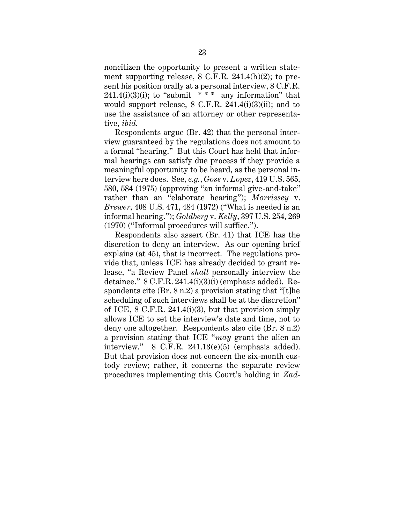noncitizen the opportunity to present a written statement supporting release, 8 C.F.R. 241.4(h)(2); to present his position orally at a personal interview, 8 C.F.R.  $241.4(i)(3)(i)$ ; to "submit \* \* \* any information" that would support release, 8 C.F.R. 241.4(i)(3)(ii); and to use the assistance of an attorney or other representative, *ibid.*

Respondents argue (Br. 42) that the personal interview guaranteed by the regulations does not amount to a formal "hearing." But this Court has held that informal hearings can satisfy due process if they provide a meaningful opportunity to be heard, as the personal interview here does. See, *e.g.*, *Goss* v. *Lopez*, 419 U.S. 565, 580, 584 (1975) (approving "an informal give-and-take" rather than an "elaborate hearing"); *Morrissey* v. *Brewer*, 408 U.S. 471, 484 (1972) ("What is needed is an informal hearing."); *Goldberg* v. *Kelly*, 397 U.S. 254, 269 (1970) ("Informal procedures will suffice.").

Respondents also assert (Br. 41) that ICE has the discretion to deny an interview. As our opening brief explains (at 45), that is incorrect. The regulations provide that, unless ICE has already decided to grant release, "a Review Panel *shall* personally interview the detainee."  $8 \text{ C.F.R. } 241.4 \text{ (i)}(3) \text{ (i)}$  (emphasis added). Respondents cite (Br. 8 n.2) a provision stating that "[t]he scheduling of such interviews shall be at the discretion" of ICE, 8 C.F.R. 241.4(i)(3), but that provision simply allows ICE to set the interview's date and time, not to deny one altogether. Respondents also cite (Br. 8 n.2) a provision stating that ICE "*may* grant the alien an interview." 8 C.F.R. 241.13(e)(5) (emphasis added). But that provision does not concern the six-month custody review; rather, it concerns the separate review procedures implementing this Court's holding in *Zad-*